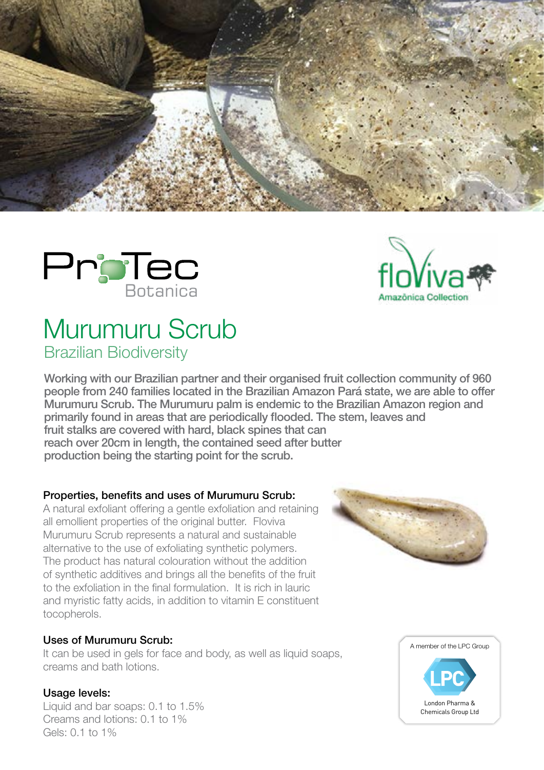





# Murumuru Scrub Brazilian Biodiversity

Working with our Brazilian partner and their organised fruit collection community of 960 people from 240 families located in the Brazilian Amazon Pará state, we are able to offer Murumuru Scrub. The Murumuru palm is endemic to the Brazilian Amazon region and primarily found in areas that are periodically flooded. The stem, leaves and fruit stalks are covered with hard, black spines that can reach over 20cm in length, the contained seed after butter production being the starting point for the scrub.

## Properties, benefits and uses of Murumuru Scrub:

A natural exfoliant offering a gentle exfoliation and retaining all emollient properties of the original butter. Floviva Murumuru Scrub represents a natural and sustainable alternative to the use of exfoliating synthetic polymers. The product has natural colouration without the addition of synthetic additives and brings all the benefits of the fruit to the exfoliation in the final formulation. It is rich in lauric and myristic fatty acids, in addition to vitamin E constituent tocopherols.

## Uses of Murumuru Scrub:

It can be used in gels for face and body, as well as liquid soaps, creams and bath lotions.

## Usage levels:

Liquid and bar soaps: 0.1 to 1.5% Creams and lotions: 0.1 to 1% Gels: 0.1 to 1%